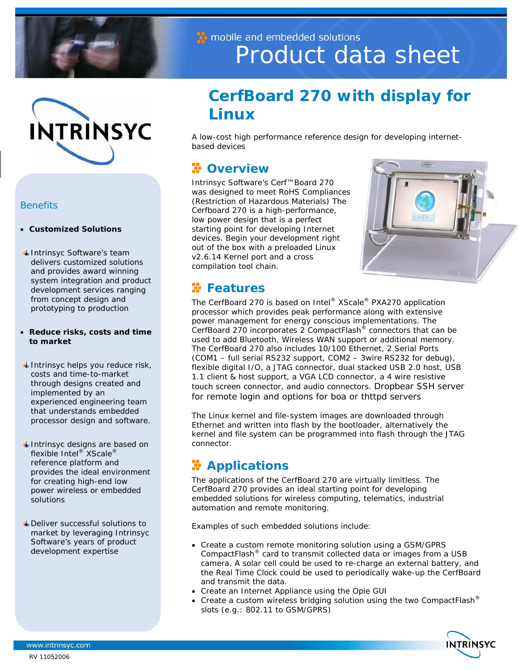



### *Benefits*

- **Customized Solutions**
- Intrinsyc Software's team delivers customized solutions and provides award winning system integration and product development services ranging from concept design and prototyping to production
- **Reduce risks, costs and time to market**
- $\ddag$  Intrinsyc helps you reduce risk, costs and time-to-market through designs created and implemented by an experienced engineering team that understands embedded processor design and software.
- $\ddot{*}$  Intrinsyc designs are based on flexible Intel® XScale® reference platform and provides the ideal environment for creating high-end low power wireless or embedded solutions
- Deliver successful solutions to market by leveraging Intrinsyc Software's years of product development expertise

# to mobile and embedded solutions Product data sheet

# **CerfBoard 270 with display for Linux**

A low-cost high performance reference design for developing internetbased devices

## **Overview**

Intrinsyc Software's Cerf™Board 270 was designed to meet RoHS Compliances (Restriction of Hazardous Materials) The Cerfboard 270 is a high-performance, low power design that is a perfect starting point for developing Internet devices. Begin your development right out of the box with a preloaded Linux v2.6.14 Kernel port and a cross compilation tool chain.



## **Features**

The CerfBoard 270 is based on Intel® XScale® PXA270 application processor which provides peak performance along with extensive power management for energy conscious implementations. The CerfBoard 270 incorporates 2 CompactFlash® connectors that can be used to add Bluetooth, Wireless WAN support or additional memory. The CerfBoard 270 also includes 10/100 Ethernet, 2 Serial Ports (COM1 – full serial RS232 support, COM2 – 3wire RS232 for debug), flexible digital I/O, a JTAG connector, dual stacked USB 2.0 host, USB 1.1 client & host support, a VGA LCD connector, a 4 wire resistive touch screen connector, and audio connectors. Dropbear SSH server for remote login and options for boa or thttpd servers

The Linux kernel and file-system images are downloaded through Ethernet and written into flash by the bootloader, alternatively the kernel and file system can be programmed into flash through the JTAG connector.

# **Applications**

The applications of the CerfBoard 270 are virtually limitless. The CerfBoard 270 provides an ideal starting point for developing embedded solutions for wireless computing, telematics, industrial automation and remote monitoring.

Examples of such embedded solutions include:

- Create a custom remote monitoring solution using a GSM/GPRS CompactFlash® card to transmit collected data or images from a USB camera. A solar cell could be used to re-charge an external battery, and the Real Time Clock could be used to periodically wake-up the CerfBoard and transmit the data.
- Create an Internet Appliance using the Opie GUI
- Create a custom wireless bridging solution using the two CompactFlash<sup>®</sup> slots (e.g.: 802.11 to GSM/GPRS)